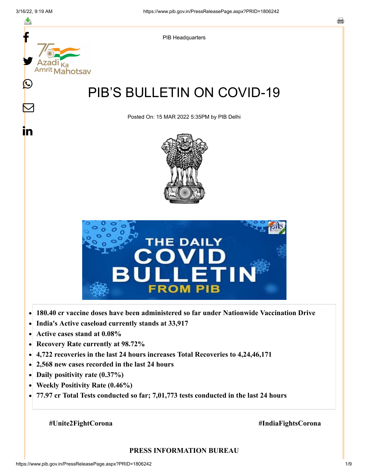

- **Active cases stand at 0.08%**  $\bullet$
- **Recovery Rate currently at 98.72%**  $\bullet$
- **4,722 recoveries in the last 24 hours increases Total Recoveries to 4,24,46,171**  $\bullet$
- **2,568 new cases recorded in the last 24 hours**  $\bullet$
- **Daily positivity rate (0.37%)**
- **Weekly Positivity Rate (0.46%)**  $\bullet$
- **77.97 cr Total Tests conducted so far; 7,01,773 tests conducted in the last 24 hours**  $\bullet$

#### **#Unite2FightCorona #IndiaFightsCorona**

#### **PRESS INFORMATION BUREAU**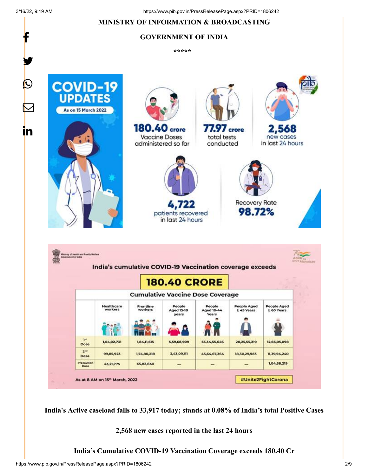f

### **MINISTRY OF INFORMATION & BROADCASTING**

# **GOVERNMENT OF INDIA**

**\*\*\*\*\*** 



**India's Active caseload falls to 33,917 today; stands at 0.08% of India's total Positive Cases**

**2,568 new cases reported in the last 24 hours**

**India's Cumulative COVID-19 Vaccination Coverage exceeds 180.40 Cr**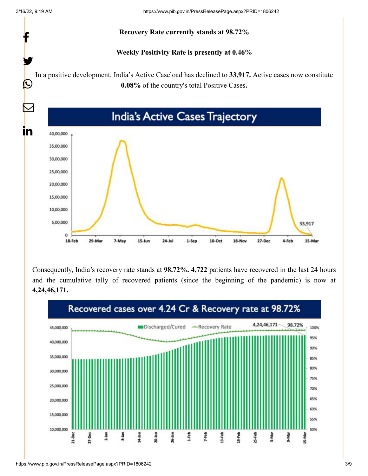

Consequently, India's recovery rate stands at **98.72%. 4,722** patients have recovered in the last 24 hours and the cumulative tally of recovered patients (since the beginning of the pandemic) is now at **4,24,46,171.**

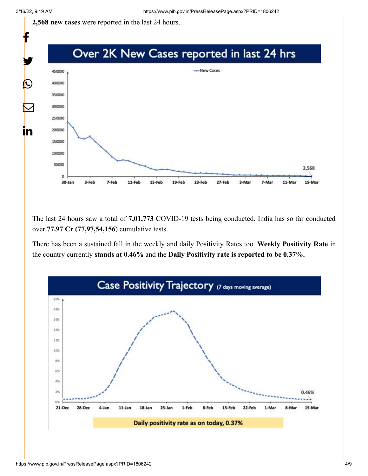**2,568 new cases** were reported in the last 24 hours.



The last 24 hours saw a total of **7,01,773** COVID-19 tests being conducted. India has so far conducted over **77.97 Cr (77,97,54,156**) cumulative tests.

There has been a sustained fall in the weekly and daily Positivity Rates too. **Weekly Positivity Rate** in the country currently **stands at 0.46%** and the **Daily Positivity rate is reported to be 0.37%.**

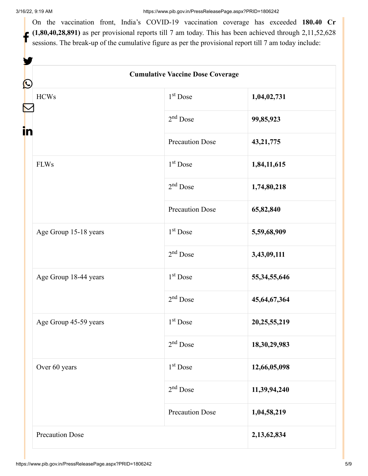V

On the vaccination front, India's COVID-19 vaccination coverage has exceeded **180.40 Cr**  $(1,80,40,28,891)$  as per provisional reports till 7 am today. This has been achieved through 2,11,52,628 sessions. The break-up of the cumulative figure as per the provisional report till 7 am today include:

| <b>Cumulative Vaccine Dose Coverage</b> |                        |                 |  |  |  |  |  |  |
|-----------------------------------------|------------------------|-----------------|--|--|--|--|--|--|
| $\bf \Omega$<br><b>HCWs</b>             | $1st$ Dose             | 1,04,02,731     |  |  |  |  |  |  |
| in                                      | $2nd$ Dose             | 99,85,923       |  |  |  |  |  |  |
|                                         | <b>Precaution Dose</b> | 43, 21, 775     |  |  |  |  |  |  |
| <b>FLWs</b>                             | 1 <sup>st</sup> Dose   | 1,84,11,615     |  |  |  |  |  |  |
|                                         | $2nd$ Dose             | 1,74,80,218     |  |  |  |  |  |  |
|                                         | <b>Precaution Dose</b> | 65,82,840       |  |  |  |  |  |  |
| Age Group 15-18 years                   | $1st$ Dose             | 5,59,68,909     |  |  |  |  |  |  |
|                                         | $2nd$ Dose             | 3,43,09,111     |  |  |  |  |  |  |
| Age Group 18-44 years                   | 1 <sup>st</sup> Dose   | 55, 34, 55, 646 |  |  |  |  |  |  |
|                                         | $2nd$ Dose             | 45,64,67,364    |  |  |  |  |  |  |
| Age Group 45-59 years                   | 1 <sup>st</sup> Dose   | 20, 25, 55, 219 |  |  |  |  |  |  |
|                                         | 2 <sup>nd</sup> Dose   | 18, 30, 29, 983 |  |  |  |  |  |  |
| Over 60 years                           | $1st$ Dose             | 12,66,05,098    |  |  |  |  |  |  |
|                                         | $2nd$ Dose             | 11,39,94,240    |  |  |  |  |  |  |
|                                         | <b>Precaution Dose</b> | 1,04,58,219     |  |  |  |  |  |  |
| Precaution Dose                         |                        | 2,13,62,834     |  |  |  |  |  |  |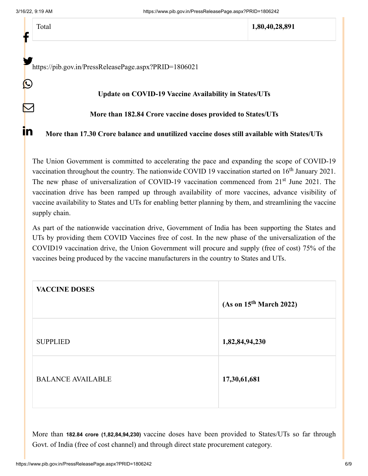f

 $\bigcirc$ 

 $\bm{\nabla}$ 

<u>in</u>

| отаі |
|------|
|------|

Total **1,80,40,28,891**

<https://pib.gov.in/PressReleasePage.aspx?PRID=1806021>

#### **Update on COVID-19 Vaccine Availability in States/UTs**

### **More than 182.84 Crore vaccine doses provided to States/UTs**

**More than 17.30 Crore balance and unutilized vaccine doses still available with States/UTs**

The Union Government is committed to accelerating the pace and expanding the scope of COVID-19 vaccination throughout the country. The nationwide COVID 19 vaccination started on  $16<sup>th</sup>$  January 2021. The new phase of universalization of COVID-19 vaccination commenced from 21<sup>st</sup> June 2021. The vaccination drive has been ramped up through availability of more vaccines, advance visibility of vaccine availability to States and UTs for enabling better planning by them, and streamlining the vaccine supply chain.

As part of the nationwide vaccination drive, Government of India has been supporting the States and UTs by providing them COVID Vaccines free of cost. In the new phase of the universalization of the COVID19 vaccination drive, the Union Government will procure and supply (free of cost) 75% of the vaccines being produced by the vaccine manufacturers in the country to States and UTs.

| <b>VACCINE DOSES</b>     | (As on 15 <sup>th</sup> March 2022) |  |
|--------------------------|-------------------------------------|--|
| <b>SUPPLIED</b>          | 1,82,84,94,230                      |  |
| <b>BALANCE AVAILABLE</b> | 17,30,61,681                        |  |

More than **182.84 crore (1,82,84,94,230)** vaccine doses have been provided to States/UTs so far through Govt. of India (free of cost channel) and through direct state procurement category.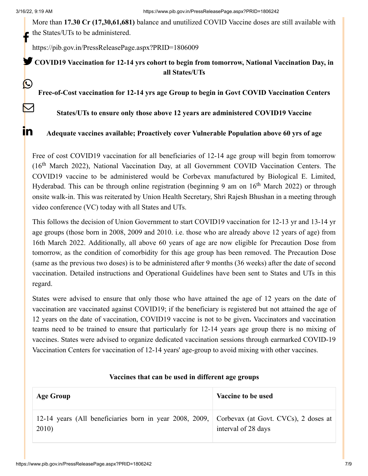C

 $\boldsymbol{\mathsf{K}}$ 

<u>in</u>

More than **17.30 Cr (17,30,61,681)** balance and unutilized COVID Vaccine doses are still available with the States/UTs to be administered. f

<https://pib.gov.in/PressReleasePage.aspx?PRID=1806009>

**COVID19 Vaccination for 12-14 yrs cohort to begin from tomorrow, National Vaccination Day, in all States/UTs**

**Free-of-Cost vaccination for 12-14 yrs age Group to begin in Govt COVID Vaccination Centers**

**States/UTs to ensure only those above 12 years are administered COVID19 Vaccine**

**Adequate vaccines available; Proactively cover Vulnerable Population above 60 yrs of age**

Free of cost COVID19 vaccination for all beneficiaries of 12-14 age group will begin from tomorrow (16<sup>th</sup> March 2022), National Vaccination Day, at all Government COVID Vaccination Centers. The COVID19 vaccine to be administered would be Corbevax manufactured by Biological E. Limited, Hyderabad. This can be through online registration (beginning 9 am on 16<sup>th</sup> March 2022) or through onsite walk-in. This was reiterated by Union Health Secretary, Shri Rajesh Bhushan in a meeting through video conference (VC) today with all States and UTs.

This follows the decision of Union Government to start COVID19 vaccination for 12-13 yr and 13-14 yr age groups (those born in 2008, 2009 and 2010. i.e. those who are already above 12 years of age) from 16th March 2022. Additionally, all above 60 years of age are now eligible for Precaution Dose from tomorrow, as the condition of comorbidity for this age group has been removed. The Precaution Dose (same as the previous two doses) is to be administered after 9 months (36 weeks) after the date of second vaccination. Detailed instructions and Operational Guidelines have been sent to States and UTs in this regard.

States were advised to ensure that only those who have attained the age of 12 years on the date of vaccination are vaccinated against COVID19; if the beneficiary is registered but not attained the age of 12 years on the date of vaccination, COVID19 vaccine is not to be given**.** Vaccinators and vaccination teams need to be trained to ensure that particularly for 12-14 years age group there is no mixing of vaccines. States were advised to organize dedicated vaccination sessions through earmarked COVID-19 Vaccination Centers for vaccination of 12-14 years' age-group to avoid mixing with other vaccines.

| <b>Age Group</b>                                                                                      | Vaccine to be used  |  |  |  |
|-------------------------------------------------------------------------------------------------------|---------------------|--|--|--|
| 12-14 years (All beneficiaries born in year 2008, 2009, Corbevax (at Govt. CVCs), 2 doses at<br>2010) | interval of 28 days |  |  |  |

### **Vaccines that can be used in different age groups**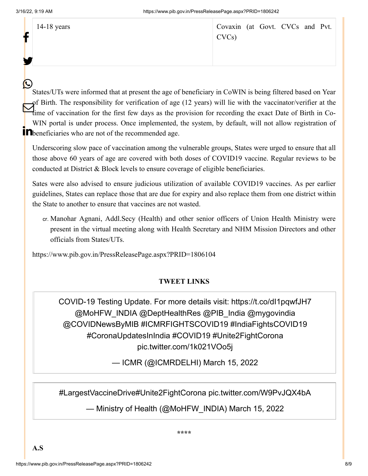|  | $14-18$ years | Covaxin (at Govt. CVCs and Pvt.<br>CVCs |  |  |  |
|--|---------------|-----------------------------------------|--|--|--|
|  |               |                                         |  |  |  |

States/UTs were informed that at present the age of beneficiary in CoWIN is being filtered based on Year of Birth. The responsibility for verification of age (12 years) will lie with the vaccinator/verifier at the I Birth. The responsibility for vertification of age (12 years) will he with the vaccinator/vertifier at the line of vaccination for the first few days as the provision for recording the exact Date of Birth in Co-WIN portal is under process. Once implemented, the system, by default, will not allow registration of **below**  $\frac{1}{2}$  **beneficiaries** who are not of the recommended age.  $\boldsymbol{\mathcal{O}}$ 

Underscoring slow pace of vaccination among the vulnerable groups, States were urged to ensure that all those above 60 years of age are covered with both doses of COVID19 vaccine. Regular reviews to be conducted at District & Block levels to ensure coverage of eligible beneficiaries.

Sates were also advised to ensure judicious utilization of available COVID19 vaccines. As per earlier guidelines, States can replace those that are due for expiry and also replace them from one district within the State to another to ensure that vaccines are not wasted.

cr. Manohar Agnani, Addl.Secy (Health) and other senior officers of Union Health Ministry were present in the virtual meeting along with Health Secretary and NHM Mission Directors and other officials from States/UTs.

<https://www.pib.gov.in/PressReleasePage.aspx?PRID=1806104>

## **TWEET LINKS**

COVID-19 Testing Update. For more details visit: <https://t.co/dI1pqwfJH7> [@MoHFW\\_INDIA](https://twitter.com/MoHFW_INDIA?ref_src=twsrc%5Etfw) [@DeptHealthRes](https://twitter.com/DeptHealthRes?ref_src=twsrc%5Etfw) [@PIB\\_India](https://twitter.com/PIB_India?ref_src=twsrc%5Etfw) [@mygovindia](https://twitter.com/mygovindia?ref_src=twsrc%5Etfw) [@COVIDNewsByMIB](https://twitter.com/COVIDNewsByMIB?ref_src=twsrc%5Etfw) [#ICMRFIGHTSCOVID19](https://twitter.com/hashtag/ICMRFIGHTSCOVID19?src=hash&ref_src=twsrc%5Etfw) [#IndiaFightsCOVID19](https://twitter.com/hashtag/IndiaFightsCOVID19?src=hash&ref_src=twsrc%5Etfw) [#CoronaUpdatesInIndia](https://twitter.com/hashtag/CoronaUpdatesInIndia?src=hash&ref_src=twsrc%5Etfw) [#COVID19](https://twitter.com/hashtag/COVID19?src=hash&ref_src=twsrc%5Etfw) [#Unite2FightCorona](https://twitter.com/hashtag/Unite2FightCorona?src=hash&ref_src=twsrc%5Etfw) [pic.twitter.com/1k021VOo5j](https://t.co/1k021VOo5j)

— ICMR (@ICMRDELHI) [March 15, 2022](https://twitter.com/ICMRDELHI/status/1503568678058872832?ref_src=twsrc%5Etfw)

[#LargestVaccineDrive](https://twitter.com/hashtag/LargestVaccineDrive?src=hash&ref_src=twsrc%5Etfw)[#Unite2FightCorona](https://twitter.com/hashtag/Unite2FightCorona?src=hash&ref_src=twsrc%5Etfw) [pic.twitter.com/W9PvJQX4bA](https://t.co/W9PvJQX4bA)

— Ministry of Health (@MoHFW\_INDIA) [March 15, 2022](https://twitter.com/MoHFW_INDIA/status/1503641557312106498?ref_src=twsrc%5Etfw)

**\*\*\*\***